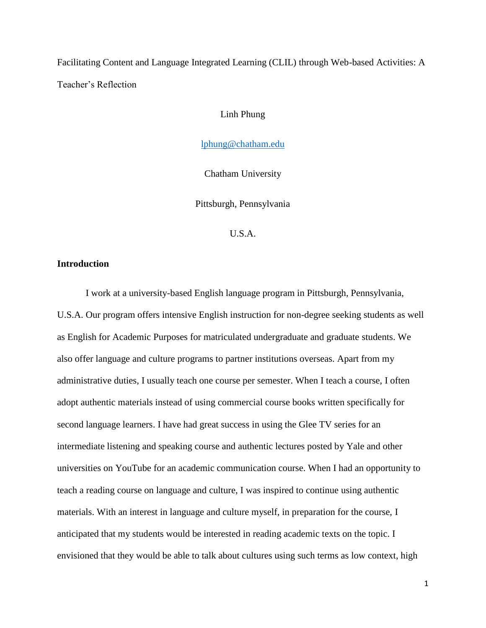Facilitating Content and Language Integrated Learning (CLIL) through Web-based Activities: A Teacher's Reflection

Linh Phung

[lphung@chatham.edu](mailto:lphung@chatham.edu)

Chatham University

Pittsburgh, Pennsylvania

U.S.A.

### **Introduction**

I work at a university-based English language program in Pittsburgh, Pennsylvania, U.S.A. Our program offers intensive English instruction for non-degree seeking students as well as English for Academic Purposes for matriculated undergraduate and graduate students. We also offer language and culture programs to partner institutions overseas. Apart from my administrative duties, I usually teach one course per semester. When I teach a course, I often adopt authentic materials instead of using commercial course books written specifically for second language learners. I have had great success in using the Glee TV series for an intermediate listening and speaking course and authentic lectures posted by Yale and other universities on YouTube for an academic communication course. When I had an opportunity to teach a reading course on language and culture, I was inspired to continue using authentic materials. With an interest in language and culture myself, in preparation for the course, I anticipated that my students would be interested in reading academic texts on the topic. I envisioned that they would be able to talk about cultures using such terms as low context, high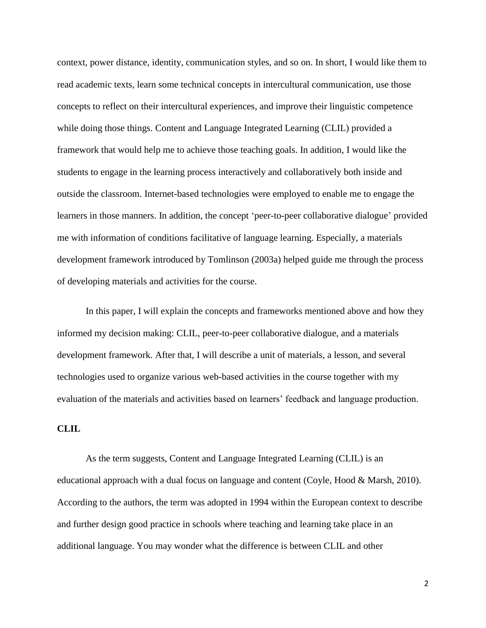context, power distance, identity, communication styles, and so on. In short, I would like them to read academic texts, learn some technical concepts in intercultural communication, use those concepts to reflect on their intercultural experiences, and improve their linguistic competence while doing those things. Content and Language Integrated Learning (CLIL) provided a framework that would help me to achieve those teaching goals. In addition, I would like the students to engage in the learning process interactively and collaboratively both inside and outside the classroom. Internet-based technologies were employed to enable me to engage the learners in those manners. In addition, the concept 'peer-to-peer collaborative dialogue' provided me with information of conditions facilitative of language learning. Especially, a materials development framework introduced by Tomlinson (2003a) helped guide me through the process of developing materials and activities for the course.

In this paper, I will explain the concepts and frameworks mentioned above and how they informed my decision making: CLIL, peer-to-peer collaborative dialogue, and a materials development framework. After that, I will describe a unit of materials, a lesson, and several technologies used to organize various web-based activities in the course together with my evaluation of the materials and activities based on learners' feedback and language production.

### **CLIL**

As the term suggests, Content and Language Integrated Learning (CLIL) is an educational approach with a dual focus on language and content (Coyle, Hood & Marsh, 2010). According to the authors, the term was adopted in 1994 within the European context to describe and further design good practice in schools where teaching and learning take place in an additional language. You may wonder what the difference is between CLIL and other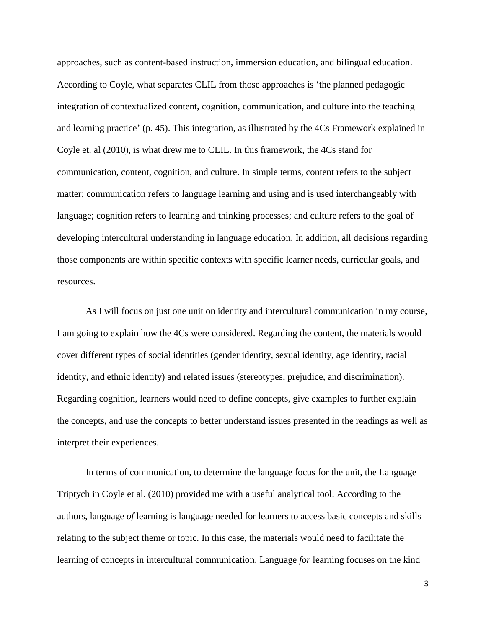approaches, such as content-based instruction, immersion education, and bilingual education. According to Coyle, what separates CLIL from those approaches is 'the planned pedagogic integration of contextualized content, cognition, communication, and culture into the teaching and learning practice' (p. 45). This integration, as illustrated by the 4Cs Framework explained in Coyle et. al (2010), is what drew me to CLIL. In this framework, the 4Cs stand for communication, content, cognition, and culture. In simple terms, content refers to the subject matter; communication refers to language learning and using and is used interchangeably with language; cognition refers to learning and thinking processes; and culture refers to the goal of developing intercultural understanding in language education. In addition, all decisions regarding those components are within specific contexts with specific learner needs, curricular goals, and resources.

As I will focus on just one unit on identity and intercultural communication in my course, I am going to explain how the 4Cs were considered. Regarding the content, the materials would cover different types of social identities (gender identity, sexual identity, age identity, racial identity, and ethnic identity) and related issues (stereotypes, prejudice, and discrimination). Regarding cognition, learners would need to define concepts, give examples to further explain the concepts, and use the concepts to better understand issues presented in the readings as well as interpret their experiences.

In terms of communication, to determine the language focus for the unit, the Language Triptych in Coyle et al. (2010) provided me with a useful analytical tool. According to the authors, language *of* learning is language needed for learners to access basic concepts and skills relating to the subject theme or topic. In this case, the materials would need to facilitate the learning of concepts in intercultural communication. Language *for* learning focuses on the kind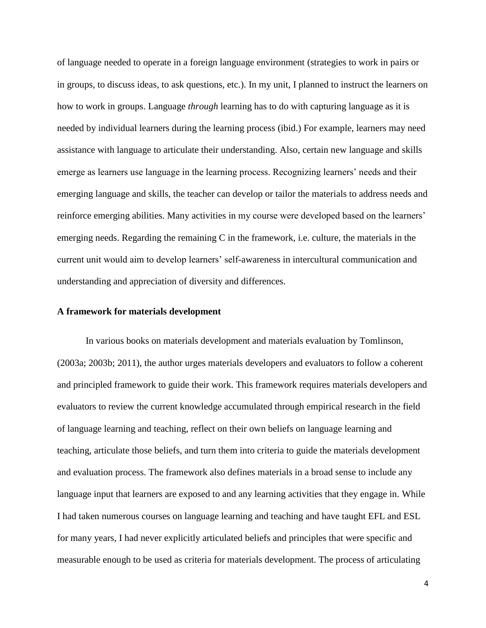of language needed to operate in a foreign language environment (strategies to work in pairs or in groups, to discuss ideas, to ask questions, etc.). In my unit, I planned to instruct the learners on how to work in groups. Language *through* learning has to do with capturing language as it is needed by individual learners during the learning process (ibid.) For example, learners may need assistance with language to articulate their understanding. Also, certain new language and skills emerge as learners use language in the learning process. Recognizing learners' needs and their emerging language and skills, the teacher can develop or tailor the materials to address needs and reinforce emerging abilities. Many activities in my course were developed based on the learners' emerging needs. Regarding the remaining C in the framework, i.e. culture, the materials in the current unit would aim to develop learners' self-awareness in intercultural communication and understanding and appreciation of diversity and differences.

#### **A framework for materials development**

In various books on materials development and materials evaluation by Tomlinson, (2003a; 2003b; 2011), the author urges materials developers and evaluators to follow a coherent and principled framework to guide their work. This framework requires materials developers and evaluators to review the current knowledge accumulated through empirical research in the field of language learning and teaching, reflect on their own beliefs on language learning and teaching, articulate those beliefs, and turn them into criteria to guide the materials development and evaluation process. The framework also defines materials in a broad sense to include any language input that learners are exposed to and any learning activities that they engage in. While I had taken numerous courses on language learning and teaching and have taught EFL and ESL for many years, I had never explicitly articulated beliefs and principles that were specific and measurable enough to be used as criteria for materials development. The process of articulating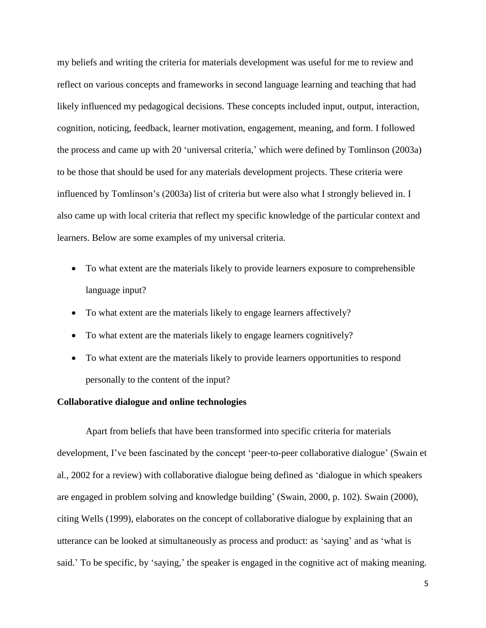my beliefs and writing the criteria for materials development was useful for me to review and reflect on various concepts and frameworks in second language learning and teaching that had likely influenced my pedagogical decisions. These concepts included input, output, interaction, cognition, noticing, feedback, learner motivation, engagement, meaning, and form. I followed the process and came up with 20 'universal criteria,' which were defined by Tomlinson (2003a) to be those that should be used for any materials development projects. These criteria were influenced by Tomlinson's (2003a) list of criteria but were also what I strongly believed in. I also came up with local criteria that reflect my specific knowledge of the particular context and learners. Below are some examples of my universal criteria.

- To what extent are the materials likely to provide learners exposure to comprehensible language input?
- To what extent are the materials likely to engage learners affectively?
- To what extent are the materials likely to engage learners cognitively?
- To what extent are the materials likely to provide learners opportunities to respond personally to the content of the input?

### **Collaborative dialogue and online technologies**

Apart from beliefs that have been transformed into specific criteria for materials development, I've been fascinated by the concept 'peer-to-peer collaborative dialogue' (Swain et al., 2002 for a review) with collaborative dialogue being defined as 'dialogue in which speakers are engaged in problem solving and knowledge building' (Swain, 2000, p. 102). Swain (2000), citing Wells (1999), elaborates on the concept of collaborative dialogue by explaining that an utterance can be looked at simultaneously as process and product: as 'saying' and as 'what is said.' To be specific, by 'saying,' the speaker is engaged in the cognitive act of making meaning.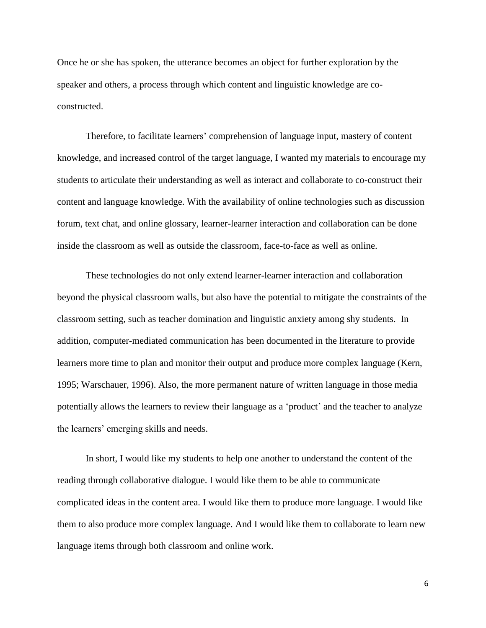Once he or she has spoken, the utterance becomes an object for further exploration by the speaker and others, a process through which content and linguistic knowledge are coconstructed.

Therefore, to facilitate learners' comprehension of language input, mastery of content knowledge, and increased control of the target language, I wanted my materials to encourage my students to articulate their understanding as well as interact and collaborate to co-construct their content and language knowledge. With the availability of online technologies such as discussion forum, text chat, and online glossary, learner-learner interaction and collaboration can be done inside the classroom as well as outside the classroom, face-to-face as well as online.

These technologies do not only extend learner-learner interaction and collaboration beyond the physical classroom walls, but also have the potential to mitigate the constraints of the classroom setting, such as teacher domination and linguistic anxiety among shy students. In addition, computer-mediated communication has been documented in the literature to provide learners more time to plan and monitor their output and produce more complex language (Kern, 1995; Warschauer, 1996). Also, the more permanent nature of written language in those media potentially allows the learners to review their language as a 'product' and the teacher to analyze the learners' emerging skills and needs.

In short, I would like my students to help one another to understand the content of the reading through collaborative dialogue. I would like them to be able to communicate complicated ideas in the content area. I would like them to produce more language. I would like them to also produce more complex language. And I would like them to collaborate to learn new language items through both classroom and online work.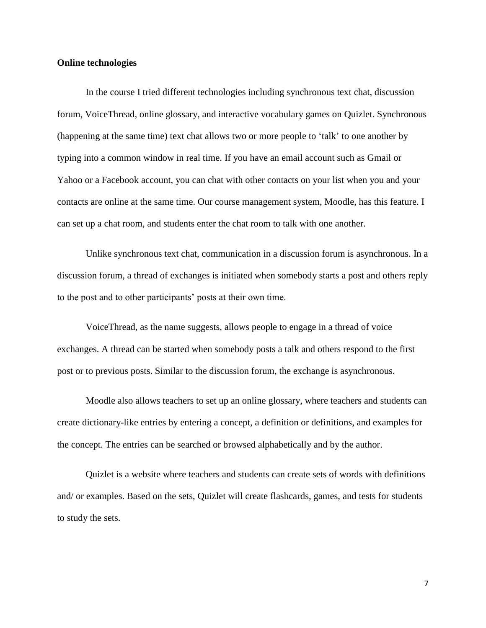### **Online technologies**

In the course I tried different technologies including synchronous text chat, discussion forum, VoiceThread, online glossary, and interactive vocabulary games on Quizlet. Synchronous (happening at the same time) text chat allows two or more people to 'talk' to one another by typing into a common window in real time. If you have an email account such as Gmail or Yahoo or a Facebook account, you can chat with other contacts on your list when you and your contacts are online at the same time. Our course management system, Moodle, has this feature. I can set up a chat room, and students enter the chat room to talk with one another.

Unlike synchronous text chat, communication in a discussion forum is asynchronous. In a discussion forum, a thread of exchanges is initiated when somebody starts a post and others reply to the post and to other participants' posts at their own time.

VoiceThread, as the name suggests, allows people to engage in a thread of voice exchanges. A thread can be started when somebody posts a talk and others respond to the first post or to previous posts. Similar to the discussion forum, the exchange is asynchronous.

Moodle also allows teachers to set up an online glossary, where teachers and students can create dictionary-like entries by entering a concept, a definition or definitions, and examples for the concept. The entries can be searched or browsed alphabetically and by the author.

Quizlet is a website where teachers and students can create sets of words with definitions and/ or examples. Based on the sets, Quizlet will create flashcards, games, and tests for students to study the sets.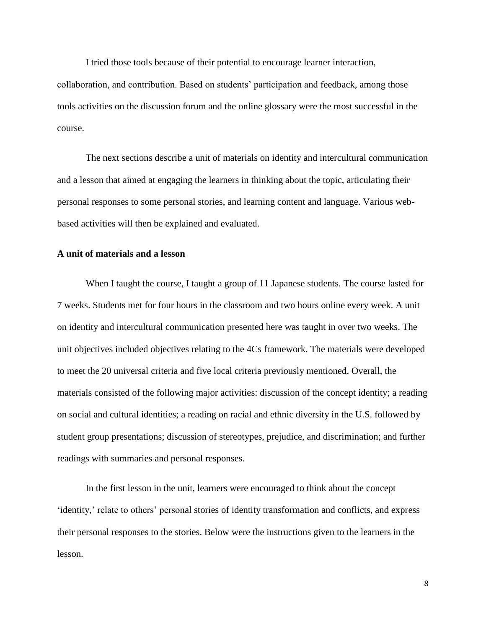I tried those tools because of their potential to encourage learner interaction, collaboration, and contribution. Based on students' participation and feedback, among those tools activities on the discussion forum and the online glossary were the most successful in the course.

The next sections describe a unit of materials on identity and intercultural communication and a lesson that aimed at engaging the learners in thinking about the topic, articulating their personal responses to some personal stories, and learning content and language. Various webbased activities will then be explained and evaluated.

## **A unit of materials and a lesson**

When I taught the course, I taught a group of 11 Japanese students. The course lasted for 7 weeks. Students met for four hours in the classroom and two hours online every week. A unit on identity and intercultural communication presented here was taught in over two weeks. The unit objectives included objectives relating to the 4Cs framework. The materials were developed to meet the 20 universal criteria and five local criteria previously mentioned. Overall, the materials consisted of the following major activities: discussion of the concept identity; a reading on social and cultural identities; a reading on racial and ethnic diversity in the U.S. followed by student group presentations; discussion of stereotypes, prejudice, and discrimination; and further readings with summaries and personal responses.

In the first lesson in the unit, learners were encouraged to think about the concept 'identity,' relate to others' personal stories of identity transformation and conflicts, and express their personal responses to the stories. Below were the instructions given to the learners in the lesson.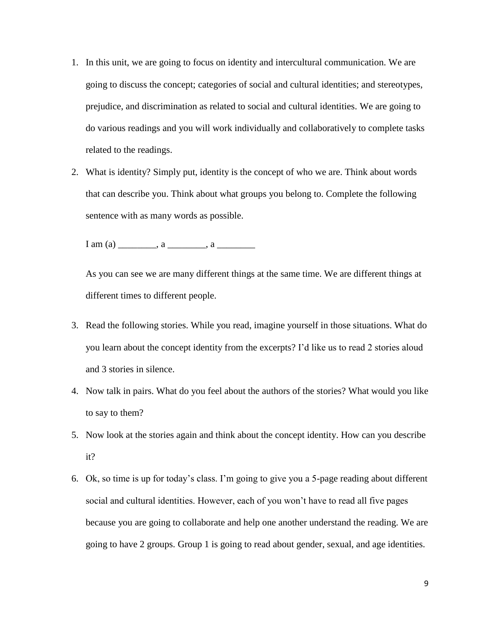- 1. In this unit, we are going to focus on identity and intercultural communication. We are going to discuss the concept; categories of social and cultural identities; and stereotypes, prejudice, and discrimination as related to social and cultural identities. We are going to do various readings and you will work individually and collaboratively to complete tasks related to the readings.
- 2. What is identity? Simply put, identity is the concept of who we are. Think about words that can describe you. Think about what groups you belong to. Complete the following sentence with as many words as possible.

 $I$  am (a) \_\_\_\_\_\_\_\_, a \_\_\_\_\_\_\_, a \_\_\_\_\_\_\_\_

As you can see we are many different things at the same time. We are different things at different times to different people.

- 3. Read the following stories. While you read, imagine yourself in those situations. What do you learn about the concept identity from the excerpts? I'd like us to read 2 stories aloud and 3 stories in silence.
- 4. Now talk in pairs. What do you feel about the authors of the stories? What would you like to say to them?
- 5. Now look at the stories again and think about the concept identity. How can you describe it?
- 6. Ok, so time is up for today's class. I'm going to give you a 5-page reading about different social and cultural identities. However, each of you won't have to read all five pages because you are going to collaborate and help one another understand the reading. We are going to have 2 groups. Group 1 is going to read about gender, sexual, and age identities.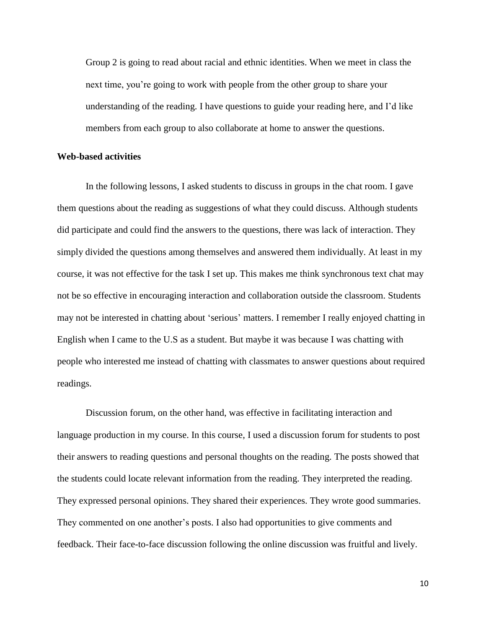Group 2 is going to read about racial and ethnic identities. When we meet in class the next time, you're going to work with people from the other group to share your understanding of the reading. I have questions to guide your reading here, and I'd like members from each group to also collaborate at home to answer the questions.

### **Web-based activities**

In the following lessons, I asked students to discuss in groups in the chat room. I gave them questions about the reading as suggestions of what they could discuss. Although students did participate and could find the answers to the questions, there was lack of interaction. They simply divided the questions among themselves and answered them individually. At least in my course, it was not effective for the task I set up. This makes me think synchronous text chat may not be so effective in encouraging interaction and collaboration outside the classroom. Students may not be interested in chatting about 'serious' matters. I remember I really enjoyed chatting in English when I came to the U.S as a student. But maybe it was because I was chatting with people who interested me instead of chatting with classmates to answer questions about required readings.

Discussion forum, on the other hand, was effective in facilitating interaction and language production in my course. In this course, I used a discussion forum for students to post their answers to reading questions and personal thoughts on the reading. The posts showed that the students could locate relevant information from the reading. They interpreted the reading. They expressed personal opinions. They shared their experiences. They wrote good summaries. They commented on one another's posts. I also had opportunities to give comments and feedback. Their face-to-face discussion following the online discussion was fruitful and lively.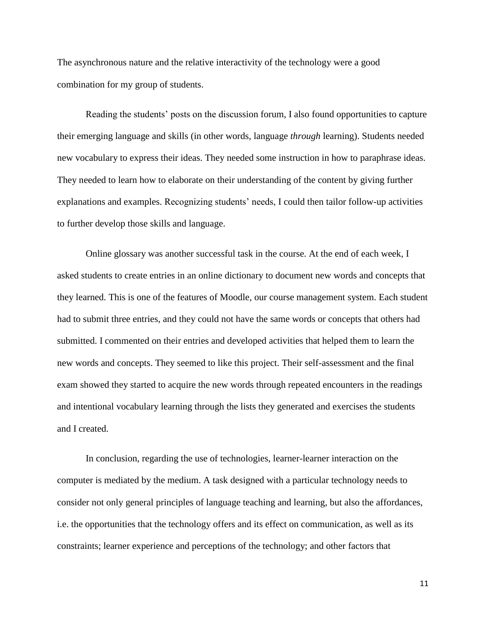The asynchronous nature and the relative interactivity of the technology were a good combination for my group of students.

Reading the students' posts on the discussion forum, I also found opportunities to capture their emerging language and skills (in other words, language *through* learning). Students needed new vocabulary to express their ideas. They needed some instruction in how to paraphrase ideas. They needed to learn how to elaborate on their understanding of the content by giving further explanations and examples. Recognizing students' needs, I could then tailor follow-up activities to further develop those skills and language.

Online glossary was another successful task in the course. At the end of each week, I asked students to create entries in an online dictionary to document new words and concepts that they learned. This is one of the features of Moodle, our course management system. Each student had to submit three entries, and they could not have the same words or concepts that others had submitted. I commented on their entries and developed activities that helped them to learn the new words and concepts. They seemed to like this project. Their self-assessment and the final exam showed they started to acquire the new words through repeated encounters in the readings and intentional vocabulary learning through the lists they generated and exercises the students and I created.

In conclusion, regarding the use of technologies, learner-learner interaction on the computer is mediated by the medium. A task designed with a particular technology needs to consider not only general principles of language teaching and learning, but also the affordances, i.e. the opportunities that the technology offers and its effect on communication, as well as its constraints; learner experience and perceptions of the technology; and other factors that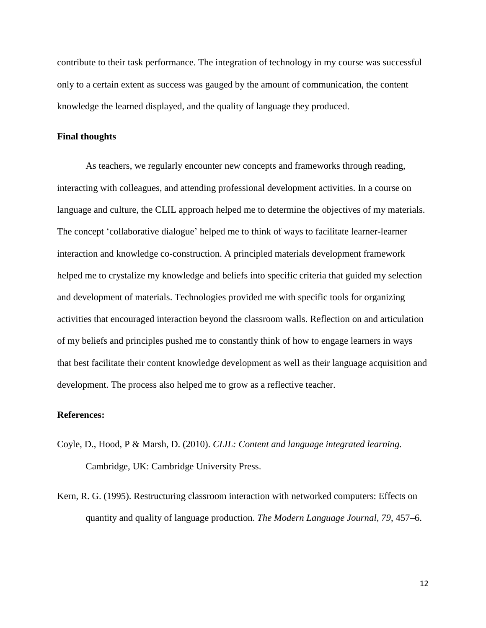contribute to their task performance. The integration of technology in my course was successful only to a certain extent as success was gauged by the amount of communication, the content knowledge the learned displayed, and the quality of language they produced.

### **Final thoughts**

As teachers, we regularly encounter new concepts and frameworks through reading, interacting with colleagues, and attending professional development activities. In a course on language and culture, the CLIL approach helped me to determine the objectives of my materials. The concept 'collaborative dialogue' helped me to think of ways to facilitate learner-learner interaction and knowledge co-construction. A principled materials development framework helped me to crystalize my knowledge and beliefs into specific criteria that guided my selection and development of materials. Technologies provided me with specific tools for organizing activities that encouraged interaction beyond the classroom walls. Reflection on and articulation of my beliefs and principles pushed me to constantly think of how to engage learners in ways that best facilitate their content knowledge development as well as their language acquisition and development. The process also helped me to grow as a reflective teacher.

### **References:**

- Coyle, D., Hood, P & Marsh, D. (2010). *CLIL: Content and language integrated learning.* Cambridge, UK: Cambridge University Press.
- Kern, R. G. (1995). Restructuring classroom interaction with networked computers: Effects on quantity and quality of language production. *The Modern Language Journal, 79*, 457–6.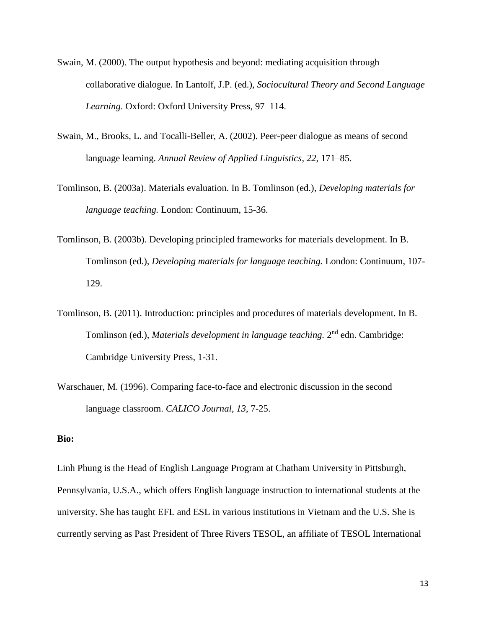- Swain, M. (2000). The output hypothesis and beyond: mediating acquisition through collaborative dialogue. In Lantolf, J.P. (ed.), *Sociocultural Theory and Second Language Learning*. Oxford: Oxford University Press, 97–114.
- Swain, M., Brooks, L. and Tocalli-Beller, A. (2002). Peer-peer dialogue as means of second language learning. *Annual Review of Applied Linguistics*, *22*, 171–85.
- Tomlinson, B. (2003a). Materials evaluation. In B. Tomlinson (ed.), *Developing materials for language teaching.* London: Continuum, 15-36.
- Tomlinson, B. (2003b). Developing principled frameworks for materials development. In B. Tomlinson (ed.), *Developing materials for language teaching.* London: Continuum, 107- 129.
- Tomlinson, B. (2011). Introduction: principles and procedures of materials development. In B. Tomlinson (ed.), *Materials development in language teaching*. 2<sup>nd</sup> edn. Cambridge: Cambridge University Press, 1-31.
- Warschauer, M. (1996). Comparing face-to-face and electronic discussion in the second language classroom. *CALICO Journal*, *13*, 7-25.

# **Bio:**

Linh Phung is the Head of English Language Program at Chatham University in Pittsburgh, Pennsylvania, U.S.A., which offers English language instruction to international students at the university. She has taught EFL and ESL in various institutions in Vietnam and the U.S. She is currently serving as Past President of Three Rivers TESOL, an affiliate of TESOL International